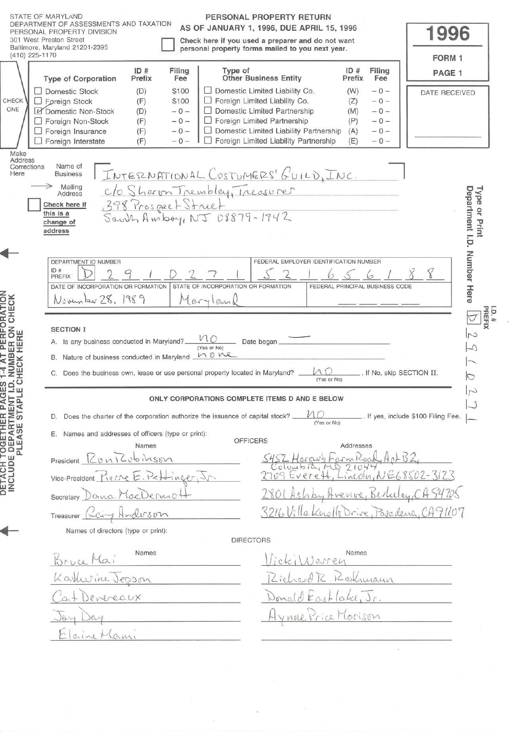|                                                                                                                      | STATE OF MARYLAND<br>PERSONAL PROPERTY RETURN<br>DEPARTMENT OF ASSESSMENTS AND TAXATION<br>AS OF JANUARY 1, 1996, DUE APRIL 15, 1996<br><b>SONAL PROPERTY DIVISION</b><br>301 West Preston Street<br>Check here if you used a preparer and do not want<br>Baltimore, Maryland 21201-2395<br>personal property forms mailed to you next year.<br>$(410)$ 225-1170                                                                                                                                                                                                                                                                                                                                         |                                                                                                                                | 1996<br>FORM 1                                                                                             |
|----------------------------------------------------------------------------------------------------------------------|----------------------------------------------------------------------------------------------------------------------------------------------------------------------------------------------------------------------------------------------------------------------------------------------------------------------------------------------------------------------------------------------------------------------------------------------------------------------------------------------------------------------------------------------------------------------------------------------------------------------------------------------------------------------------------------------------------|--------------------------------------------------------------------------------------------------------------------------------|------------------------------------------------------------------------------------------------------------|
| CHECK<br>ONE                                                                                                         | Type of<br>ID#<br>Filing<br><b>Other Business Entity</b><br><b>Type of Corporation</b><br>Prefix<br>Fee<br>Domestic Limited Liability Co.<br><b>Domestic Stock</b><br>\$100<br>(D)<br>Foreign Limited Liability Co.<br>\$100<br>Foreign Stock<br>(F)<br>Domestic Limited Partnership<br>Domestic Non-Stock<br>(D)<br>$-0-$<br>$\Box$ Foreign Limited Partnership<br>(F)<br>Foreign Non-Stock<br>$-0-$<br>Domestic Limited Liability Partnership<br>(F)<br>Foreign Insurance<br>$-0-$<br>Foreign Limited Liability Partnership<br>$-0-$<br>Foreign Interstate<br>(F)                                                                                                                                      | ID#<br>Filing<br>Prefix<br>Fee<br>(W)<br>$-0-$<br>$-0-$<br>(Z)<br>(M)<br>$-0-$<br>(P)<br>$-0-$<br>(A)<br>$-0-$<br>(E)<br>$-0-$ | PAGE 1<br><b>DATE RECEIVED</b>                                                                             |
| Make<br>Address<br>Corrections<br>Here<br>I PERFORATION<br>BER ON CHECK<br>LHERE<br><b>T-4 AT</b><br>NUMBI<br>HECK I | Name of<br>I INTERNATIONAL COSTUMERS' GUILD, INC.<br><b>Business</b><br>→<br>Mailing<br>c/o Sheron Trembley, Treasurer<br>Address<br>398 Prospect Struct<br>South Amboy, NJ 08879-1942<br>Check here if<br>this is a<br>change of<br>address<br>DEPARTMENT ID NUMBER<br>FEDERAL EMPLOYER IDENTIFICATION NUMBER<br>ID#<br>PREFIX<br>STATE OF INCORPORATION OR FORMATION<br>DATE OF INCORPORATION OR FORMATION<br>November 28, 1989<br>Maryland<br><b>SECTION I</b><br>$v_{10}$<br>A. Is any business conducted in Maryland?.<br>Date began<br>(Yes or No)<br>none<br>Nature of business conducted in Maryland<br>В.<br>Does the business own, lease or use personal property located in Maryland? _<br>С. | FEDERAL PRINCIPAL BUSINESS CODE<br>$\overline{\text{M}}$ $\overline{\text{D}}$ . If No, skip SECTION II.<br>(Yes or No)        | Department I.D. Number Here<br>Type<br>$\tilde{a}$<br>Print<br>I.D.#<br>PREFIX<br>$\overline{c}$<br>♪<br>C |
| $\vec{a}$<br>りっ                                                                                                      | ONLY CORPORATIONS COMPLETE ITEMS D AND E BELOW                                                                                                                                                                                                                                                                                                                                                                                                                                                                                                                                                                                                                                                           |                                                                                                                                |                                                                                                            |
|                                                                                                                      | D. Does the charter of the corporation authorize the issuance of capital stock? _                                                                                                                                                                                                                                                                                                                                                                                                                                                                                                                                                                                                                        | (Yes or No)                                                                                                                    | If yes, include \$100 Filing Fee.                                                                          |
| ETACH TOGETHER PAG<br>NCLUDE DEPARTMENT<br>NCLUDE DEPARTMENT                                                         | Names and addresses of officers (type or print):<br>Е.<br><b>OFFICERS</b><br>Names<br>President Lunicubinson<br>Vice-President <u>Kerne</u> E. Pett<br>Deruio<br>ndoson<br>Treasurer<br>Names of directors (type or print):                                                                                                                                                                                                                                                                                                                                                                                                                                                                              | Addresses<br>Bertulen<br>3216 Villa Knolls Drive, Pascalena,                                                                   | 91107                                                                                                      |
|                                                                                                                      | <b>DIRECTORS</b>                                                                                                                                                                                                                                                                                                                                                                                                                                                                                                                                                                                                                                                                                         |                                                                                                                                |                                                                                                            |
|                                                                                                                      | Names<br>evereaux<br>$Q_1WA_1$                                                                                                                                                                                                                                                                                                                                                                                                                                                                                                                                                                                                                                                                           | Names<br>Rathmann<br>$a\omega$<br>Lorison                                                                                      |                                                                                                            |
|                                                                                                                      |                                                                                                                                                                                                                                                                                                                                                                                                                                                                                                                                                                                                                                                                                                          |                                                                                                                                |                                                                                                            |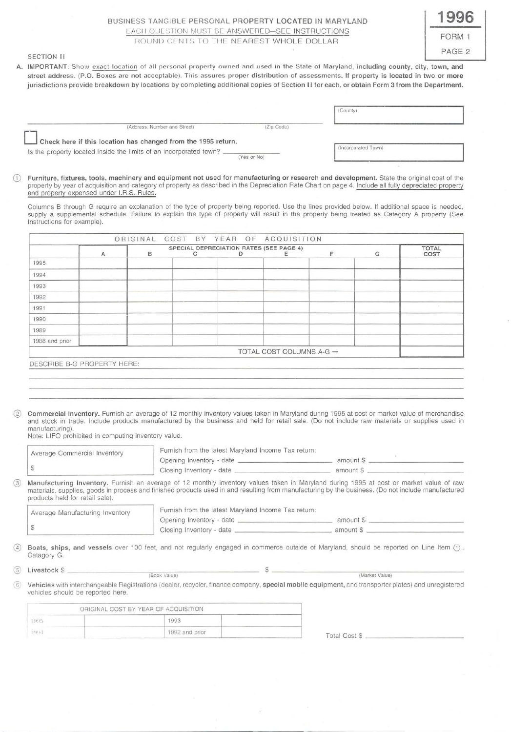# BUSINESS TANGIBLE PERSONAL PROPERTY LOCATED IN MARYLAND EACH QUESTION MUST BE ANSWERED-SEE INSTRUCTIONS ROUND CENTS TO THE NEAREST WHOLE DOLLAR

# **1996**  FORM 1 PAGE 2

## SECTION II

A. IMPORTANT: Show exact location of all personal property owned and used in the State of Maryland, including county, city, town, and street address. (P.O. Boxes are not acceptable). This assures proper distribution cf assessments. If property is located in two or more jurisdictions provide breakdown by locations by completing additional copies of Section 11 for each, or obtain Form 3 from the Department.

| Is the property located inside the limits of an incorporated town? __                                                                                                                                                                                                                                                                             |   |          | Check here if this location has changed from the 1995 return. | (Yes or No) |                                      |   | (Incorporated Town) |              |
|---------------------------------------------------------------------------------------------------------------------------------------------------------------------------------------------------------------------------------------------------------------------------------------------------------------------------------------------------|---|----------|---------------------------------------------------------------|-------------|--------------------------------------|---|---------------------|--------------|
| Furniture, fixtures, tools, machinery and equipment not used for manufacturing or research and development. State the original cost of the<br>property by year of acquisition and category of property as described in the Depreciation Rate Chart on page 4. Include all fully depreciated property<br>and property expensed under I.R.S. Rules. |   |          |                                                               |             |                                      |   |                     |              |
| Columns B through G require an explanation of the type of property being reported. Use the lines provided below. If additional space is needed,<br>supply a supplemental schedule. Failure to explain the type of property will result in the property being treated as Category A property (See<br>Instructions for example).                    |   | ORIGINAL |                                                               |             | COST BY YEAR OF ACQUISITION          |   |                     |              |
|                                                                                                                                                                                                                                                                                                                                                   |   |          | SPECIAL DEPRECIATION RATES (SEE PAGE 4)                       |             |                                      |   |                     | <b>TOTAL</b> |
| 1995                                                                                                                                                                                                                                                                                                                                              | A | B        | C                                                             | D           | Е                                    | F | G                   | COST         |
| 1994                                                                                                                                                                                                                                                                                                                                              |   |          |                                                               |             |                                      |   |                     |              |
| 1993                                                                                                                                                                                                                                                                                                                                              |   |          |                                                               |             |                                      |   |                     |              |
| 1992                                                                                                                                                                                                                                                                                                                                              |   |          |                                                               |             |                                      |   |                     |              |
| 1991                                                                                                                                                                                                                                                                                                                                              |   |          |                                                               |             |                                      |   |                     |              |
| 1990                                                                                                                                                                                                                                                                                                                                              |   |          |                                                               |             |                                      |   |                     |              |
| 1989                                                                                                                                                                                                                                                                                                                                              |   |          |                                                               |             |                                      |   |                     |              |
| 1988 and prior                                                                                                                                                                                                                                                                                                                                    |   |          |                                                               |             |                                      |   |                     |              |
|                                                                                                                                                                                                                                                                                                                                                   |   |          |                                                               |             | TOTAL COST COLUMNS A-G $\rightarrow$ |   |                     |              |
|                                                                                                                                                                                                                                                                                                                                                   |   |          |                                                               |             |                                      |   |                     |              |
|                                                                                                                                                                                                                                                                                                                                                   |   |          |                                                               |             |                                      |   |                     |              |
| DESCRIBE B-G PROPERTY HERE:                                                                                                                                                                                                                                                                                                                       |   |          |                                                               |             |                                      |   |                     |              |

manufacturing). Note: LIFO prohibited in computing inventory value.

| Average Commercial Inventory    | Furnish from the latest Maryland Income Tax return:                                                                                                | amount \$                                                                                                                               |
|---------------------------------|----------------------------------------------------------------------------------------------------------------------------------------------------|-----------------------------------------------------------------------------------------------------------------------------------------|
| D                               |                                                                                                                                                    | amount \$                                                                                                                               |
|                                 |                                                                                                                                                    | Manufacturing Inventory. Furnish an average of 12 monthly inventory values taken in Maryland during 1995 at cost or market value of raw |
| products held for retail sale). | materials, supplies, goods in process and finished products used in and resulting from manufacturing by the business. (Do not include manufactured |                                                                                                                                         |
| Average Manufacturing Inventory | Furnish from the latest Maryland Income Tax return:                                                                                                |                                                                                                                                         |
| S                               |                                                                                                                                                    | amount \$                                                                                                                               |

**4)** Boats, ships, and vessels over 100 feet, and not regularly engaged in commerce outside of Maryland, should be reported on Line Item  $\odot$ .<br>Catagory G. ® Livestock \$ ------------- ---------- (Book Value) \$ ------------(Market - --Value) ---------

® Vehicles with interchangeable Registrations (dealer, recycler, finance company, special mobile equipment, and transporter plates) and unregistered vehicles should be reported here.

| ORIGINAL COST BY YEAR OF ACQUISITION. |            |
|---------------------------------------|------------|
| 1993                                  |            |
| 1992 and prior                        | Total Cost |
|                                       |            |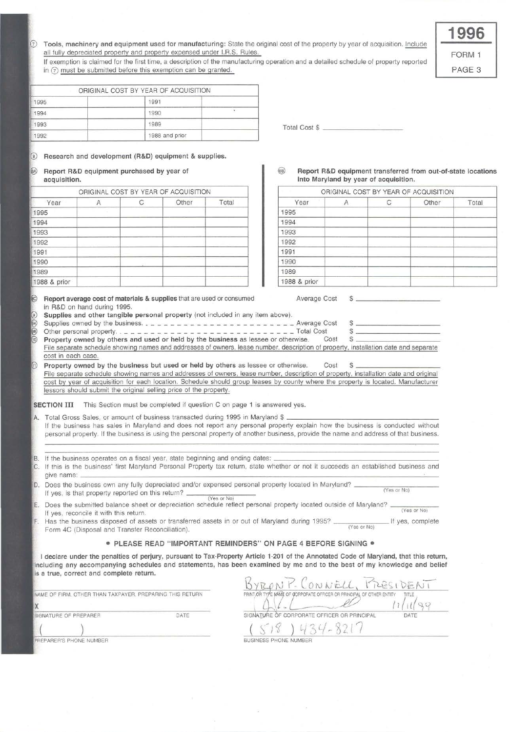| Tools, machinery and equipment used for manufacturing: State the original cost of the property by year of acquisition. Include |  |
|--------------------------------------------------------------------------------------------------------------------------------|--|
| all fully depreciated property and property expensed under I.R.S. Rules.                                                       |  |

If exemption is claimed for the first time, a description of the manufacturing operation and a detailed schedule of property reported in  $\circledcirc$  must be submitted before this exemption can be granted.

FORM 1

**1996** 

PAGE 3

|      | ORIGINAL COST BY YEAR OF ACQUISITION |                      |  |
|------|--------------------------------------|----------------------|--|
| 1995 | 1991                                 |                      |  |
| 1994 | 1990                                 |                      |  |
| 1993 | 1989                                 | <b>Total Cost \$</b> |  |
| 1992 | 1988 and prior                       |                      |  |

 $\circledcirc$ Research and development (R&D) equipment & supplies.

| $\circledR$ | Report R&D equipment purchased by year of |  |  |  |
|-------------|-------------------------------------------|--|--|--|
|             | acquisition.                              |  |  |  |

|              |   | ORIGINAL COST BY YEAR OF ACQUISITION |       |              | ORIGINAL COST BY YEAR OF ACQUISIT |       |
|--------------|---|--------------------------------------|-------|--------------|-----------------------------------|-------|
| Year         | н | Other                                | Total | Year         | Α                                 | Other |
| 1995         |   |                                      |       | 1995         |                                   |       |
| 1994         |   |                                      |       | 1994         |                                   |       |
| 1993         |   |                                      |       | 1993         |                                   |       |
| 1992         |   |                                      |       | 1992         |                                   |       |
| 1991         |   |                                      |       | 1991         |                                   |       |
| 1990         |   |                                      |       | 1990         |                                   |       |
| 1989         |   |                                      |       | 1989         |                                   |       |
| 1988 & prior |   |                                      |       | 1988 & prior |                                   |       |

Report average cost of materials & supplies that are used or consumed Average Cost \$ in R&D on hand during 1995.

- Supplies and other tangible personal property (not included in any item above).
- Supplies owned by the business. \_\_\_\_\_\_\_\_\_\_\_\_\_\_\_\_\_\_\_\_\_\_\_ Average Cost \$ \_\_\_\_\_\_\_\_\_\_ \_ Property owned by others and used or held by the business as lessee or otherwise. Cost \$ -----------
- Other personal property .. \_\_\_\_\_\_\_\_\_\_\_\_\_\_\_\_ \_ \_ \_ \_ \_ \_\_\_\_\_ Total Cost \$ \_\_\_\_\_\_\_\_\_\_ \_

File separate schedule showing names and addresses of owners, lease number, description of property, installation date and separate cost in each case.

Property owned by the business but used or held by others as lessee or otherwise. Cost \$ File separate schedule showing names and addresses of owners, lease number, description of property, installation date and original cost by year of acquisition for each location. Schedule should group leases by county where the property is located. Manufacturer lessors should submit the original selling price of the property.

SECTION III This Section must be completed if question C on page 1 is answered yes.

- A. Total Gross Sales, or amount of business transacted during 1995 in Maryland \$ . If the business has sales in Maryland and does not report any personal property explain how the business is conducted without personal property. If the business is using the personal property of another business, provide the name and address of that business.
- B If the business operates on a fiscal year, state beginning and ending dates:
- If this is the business' first Maryland Personal Property tax return, state whether or not it succeeds an established business and C. give name:  $\frac{1}{2}$  and  $\frac{1}{2}$  and  $\frac{1}{2}$  and  $\frac{1}{2}$  and  $\frac{1}{2}$  and  $\frac{1}{2}$  and  $\frac{1}{2}$  and  $\frac{1}{2}$  and  $\frac{1}{2}$  and  $\frac{1}{2}$  and  $\frac{1}{2}$  and  $\frac{1}{2}$  and  $\frac{1}{2}$  and  $\frac{1}{2}$  and  $\frac{1}{2}$  and

Does the business own any fully depreciated and/or expensed personal property located in Maryland? \_\_\_\_\_\_\_\_\_\_ \_ If yes , is that property reported on this return? ---- - ---- (Yes or No) <sub>n</sub> (Yes or No)

If yes, is that property reported on this return?  $\frac{(Yes or No)}{(Yes or No)}$ <br>Does the submitted balance sheet or depreciation schedule reflect personal property located outside of Maryland?  $\frac{(Yes or No)}{(Yes or No)}$ E If yes, reconcile it with this return.

Has the business disposed of assets or transferred assets in or out of Maryland during 1995? \_\_\_\_\_\_\_ II yes, complete Form 4C (Disposal and Transfer Reconciliation).

#### • PLEASE READ "IMPORTANT REMINDERS" ON PAGE 4 BEFORE SIGNING •

I declare under the penalties of perjury, pursuant to Tax-Property Article 1-201 of the Annotated Code of Maryland, that this return, Including any accompanying schedules and statements, has been examined by me and to the best of my knowledge and belief Is a true, correct and complete return.

| NAME OF FIRM, OTHER THAN TAXPAYER, PREPARING THIS RETURN |      |
|----------------------------------------------------------|------|
|                                                          |      |
| <b>BIGNATURE OF PREPARER</b>                             | DATE |
|                                                          |      |
| <b>PREPARER'S PHONE NUMBER</b>                           |      |

| P. CONNELL, MESIDEN                                                   |      |
|-----------------------------------------------------------------------|------|
| PRINT, OR TYPE MAME OF CORPORATE OFFICER OR PRINCIPAL OF OTHER ENTITY |      |
|                                                                       |      |
| SIGNATURE OF CORPORATE OFFICER OR PRINCIPAL                           | DATE |
| $\omega$<br>$\overline{a}$                                            |      |
| JSINESS PHONE NUMBER<br>BL.                                           |      |

#### Report R&D equipment transferred from out-of-state locations into Maryland by year of acquisition.

|  | ORIGINAL COST BY YEAR OF ACQUISITION |       |              |  | ORIGINAL COST BY YEAR OF ACQUISITION |       |
|--|--------------------------------------|-------|--------------|--|--------------------------------------|-------|
|  | Other                                | Total | Year         |  | Other                                | Total |
|  |                                      |       | 1995         |  |                                      |       |
|  |                                      |       | 1994         |  |                                      |       |
|  |                                      |       | 1993         |  |                                      |       |
|  |                                      |       | 1992         |  |                                      |       |
|  |                                      |       | 1991         |  |                                      |       |
|  |                                      |       | 1990         |  |                                      |       |
|  |                                      |       | 1989         |  |                                      |       |
|  |                                      |       | 1988 & prior |  |                                      |       |